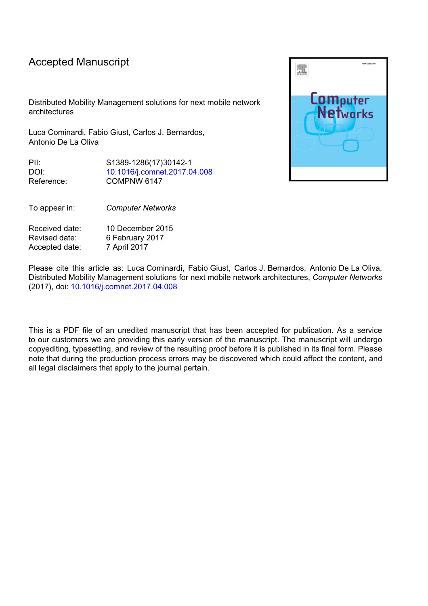## Accepted Manuscript

Distributed Mobility Management solutions for next mobile network architectures

Luca Cominardi, Fabio Giust, Carlos J. Bernardos, Antonio De La Oliva

PII: S1389-1286(17)30142-1 DOI: [10.1016/j.comnet.2017.04.008](http://dx.doi.org/10.1016/j.comnet.2017.04.008) Reference: COMPNW 6147

Received date: 10 December 2015 Revised date: 6 February 2017 Accepted date: 7 April 2017

To appear in: *Computer Networks*

Please cite this article as: Luca Cominardi, Fabio Giust, Carlos J. Bernardos, Antonio De La Oliva, Distributed Mobility Management solutions for next mobile network architectures, *Computer Networks* (2017), doi: [10.1016/j.comnet.2017.04.008](http://dx.doi.org/10.1016/j.comnet.2017.04.008)

This is a PDF file of an unedited manuscript that has been accepted for publication. As a service to our customers we are providing this early version of the manuscript. The manuscript will undergo copyediting, typesetting, and review of the resulting proof before it is published in its final form. Please note that during the production process errors may be discovered which could affect the content, and all legal disclaimers that apply to the journal pertain.

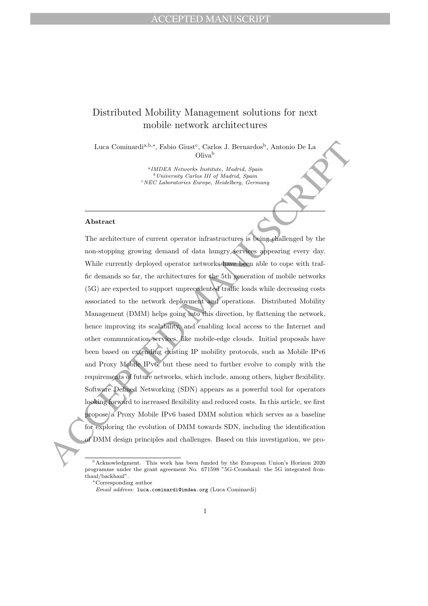## Distributed Mobility Management solutions for next mobile network architectures

Luca Cominardi<sup>a, b,∗</sup>, Fabio Giust<sup>c</sup>, Carlos J. Bernardos<sup>b</sup>, Antonio De La Oliva<sup>b</sup>

> a IMDEA Networks Institute, Madrid, Spain <sup>b</sup>University Carlos III of Madrid, Spain <sup>c</sup>NEC Laboratories Europe, Heidelberg, Germany

## Abstract

Lucia Cominardia-het, Pablio Gimes', Carlos J. Bernardos', Antonio De La <br>
( $^{12}$ MDEA Menocha Assients, Madeid, 29666<br>
( $^{12}$ MDEA Menocha Assients, Madeid, 29666<br>
( $^{12}$ MDEA Menocha Assien, Accelei, 29666<br>
( $^{12}$ MDEA The architecture of current operator infrastructures is being challenged by the non-stopping growing demand of data hungry services appearing every day. While currently deployed operator networks have been able to cope with traffic demands so far, the architectures for the 5th generation of mobile networks (5G) are expected to support unprecedented traffic loads while decreasing costs associated to the network deployment and operations. Distributed Mobility Management (DMM) helps going into this direction, by flattening the network, hence improving its scalability, and enabling local access to the Internet and other communication services, like mobile-edge clouds. Initial proposals have been based on extending existing IP mobility protocols, such as Mobile IPv6 and Proxy Mobile IPv6, but these need to further evolve to comply with the requirements of future networks, which include, among others, higher flexibility. Software Defined Networking (SDN) appears as a powerful tool for operators looking forward to increased flexibility and reduced costs. In this article, we first propose a Proxy Mobile IPv6 based DMM solution which serves as a baseline for exploring the evolution of DMM towards SDN, including the identification of DMM design principles and challenges. Based on this investigation, we pro-

 $*$ Acknowledgment. This work has been funded by the European Union's Horizon 2020 programme under the grant agreement No. 671598 "5G-Crosshaul: the 5G integrated fronthaul/backhaul".

<sup>∗</sup>Corresponding author

Email address: luca.cominardi@imdea.org (Luca Cominardi)